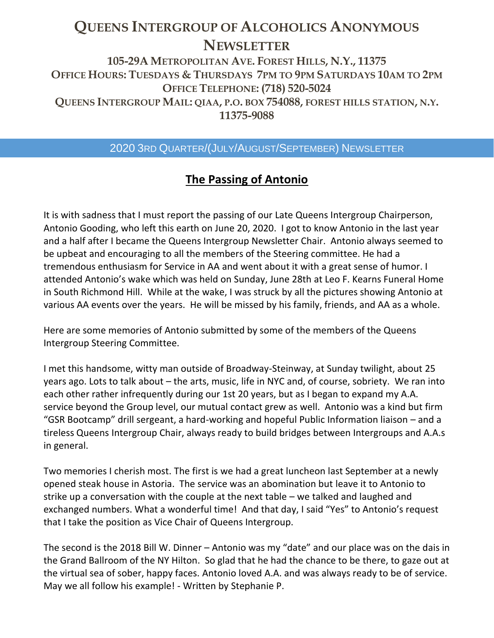# **QUEENS INTERGROUP OF ALCOHOLICS ANONYMOUS NEWSLETTER**

**105-29A METROPOLITAN AVE. FOREST HILLS, N.Y., 11375 OFFICE HOURS: TUESDAYS & THURSDAYS 7PM TO 9PM SATURDAYS 10AM TO 2PM OFFICE TELEPHONE: (718) 520-5024 QUEENS INTERGROUP MAIL: QIAA, P.O. BOX 754088, FOREST HILLS STATION, N.Y. 11375-9088**

# 2020 3RD QUARTER/(JULY/AUGUST/SEPTEMBER) NEWSLETTER

# **The Passing of Antonio**

It is with sadness that I must report the passing of our Late Queens Intergroup Chairperson, Antonio Gooding, who left this earth on June 20, 2020. I got to know Antonio in the last year and a half after I became the Queens Intergroup Newsletter Chair. Antonio always seemed to be upbeat and encouraging to all the members of the Steering committee. He had a tremendous enthusiasm for Service in AA and went about it with a great sense of humor. I attended Antonio's wake which was held on Sunday, June 28th at Leo F. Kearns Funeral Home in South Richmond Hill. While at the wake, I was struck by all the pictures showing Antonio at various AA events over the years. He will be missed by his family, friends, and AA as a whole.

Here are some memories of Antonio submitted by some of the members of the Queens Intergroup Steering Committee.

I met this handsome, witty man outside of Broadway-Steinway, at Sunday twilight, about 25 years ago. Lots to talk about – the arts, music, life in NYC and, of course, sobriety. We ran into each other rather infrequently during our 1st 20 years, but as I began to expand my A.A. service beyond the Group level, our mutual contact grew as well. Antonio was a kind but firm "GSR Bootcamp" drill sergeant, a hard-working and hopeful Public Information liaison – and a tireless Queens Intergroup Chair, always ready to build bridges between Intergroups and A.A.s in general.

Two memories I cherish most. The first is we had a great luncheon last September at a newly opened steak house in Astoria. The service was an abomination but leave it to Antonio to strike up a conversation with the couple at the next table – we talked and laughed and exchanged numbers. What a wonderful time! And that day, I said "Yes" to Antonio's request that I take the position as Vice Chair of Queens Intergroup.

The second is the 2018 Bill W. Dinner – Antonio was my "date" and our place was on the dais in the Grand Ballroom of the NY Hilton. So glad that he had the chance to be there, to gaze out at the virtual sea of sober, happy faces. Antonio loved A.A. and was always ready to be of service. May we all follow his example! - Written by Stephanie P.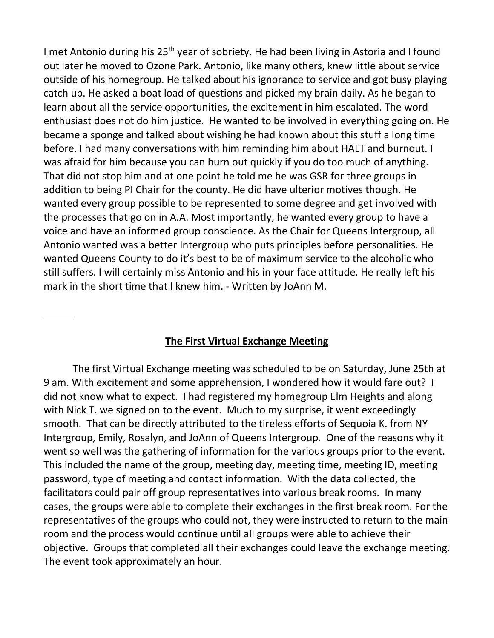I met Antonio during his 25<sup>th</sup> year of sobriety. He had been living in Astoria and I found out later he moved to Ozone Park. Antonio, like many others, knew little about service outside of his homegroup. He talked about his ignorance to service and got busy playing catch up. He asked a boat load of questions and picked my brain daily. As he began to learn about all the service opportunities, the excitement in him escalated. The word enthusiast does not do him justice. He wanted to be involved in everything going on. He became a sponge and talked about wishing he had known about this stuff a long time before. I had many conversations with him reminding him about HALT and burnout. I was afraid for him because you can burn out quickly if you do too much of anything. That did not stop him and at one point he told me he was GSR for three groups in addition to being PI Chair for the county. He did have ulterior motives though. He wanted every group possible to be represented to some degree and get involved with the processes that go on in A.A. Most importantly, he wanted every group to have a voice and have an informed group conscience. As the Chair for Queens Intergroup, all Antonio wanted was a better Intergroup who puts principles before personalities. He wanted Queens County to do it's best to be of maximum service to the alcoholic who still suffers. I will certainly miss Antonio and his in your face attitude. He really left his mark in the short time that I knew him. - Written by JoAnn M.

## **The First Virtual Exchange Meeting**

The first Virtual Exchange meeting was scheduled to be on Saturday, June 25th at 9 am. With excitement and some apprehension, I wondered how it would fare out? I did not know what to expect. I had registered my homegroup Elm Heights and along with Nick T. we signed on to the event. Much to my surprise, it went exceedingly smooth. That can be directly attributed to the tireless efforts of Sequoia K. from NY Intergroup, Emily, Rosalyn, and JoAnn of Queens Intergroup. One of the reasons why it went so well was the gathering of information for the various groups prior to the event. This included the name of the group, meeting day, meeting time, meeting ID, meeting password, type of meeting and contact information. With the data collected, the facilitators could pair off group representatives into various break rooms. In many cases, the groups were able to complete their exchanges in the first break room. For the representatives of the groups who could not, they were instructed to return to the main room and the process would continue until all groups were able to achieve their objective. Groups that completed all their exchanges could leave the exchange meeting. The event took approximately an hour.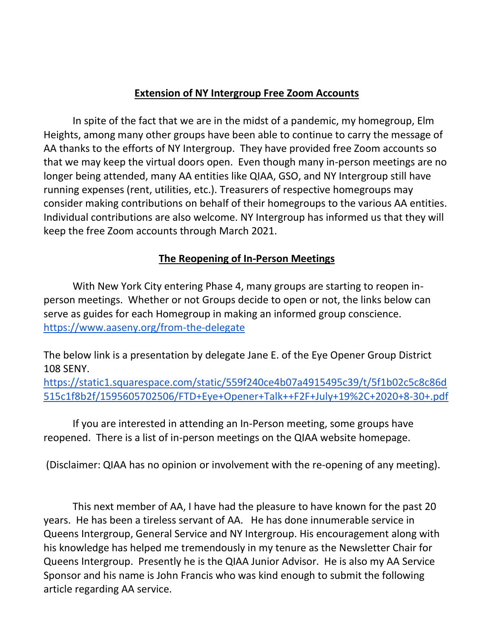#### **Extension of NY Intergroup Free Zoom Accounts**

In spite of the fact that we are in the midst of a pandemic, my homegroup, Elm Heights, among many other groups have been able to continue to carry the message of AA thanks to the efforts of NY Intergroup. They have provided free Zoom accounts so that we may keep the virtual doors open. Even though many in-person meetings are no longer being attended, many AA entities like QIAA, GSO, and NY Intergroup still have running expenses (rent, utilities, etc.). Treasurers of respective homegroups may consider making contributions on behalf of their homegroups to the various AA entities. Individual contributions are also welcome. NY Intergroup has informed us that they will keep the free Zoom accounts through March 2021.

## **The Reopening of In-Person Meetings**

With New York City entering Phase 4, many groups are starting to reopen inperson meetings. Whether or not Groups decide to open or not, the links below can serve as guides for each Homegroup in making an informed group conscience. <https://www.aaseny.org/from-the-delegate>

The below link is a presentation by delegate Jane E. of the Eye Opener Group District 108 SENY.

[https://static1.squarespace.com/static/559f240ce4b07a4915495c39/t/5f1b02c5c8c86d](https://static1.squarespace.com/static/559f240ce4b07a4915495c39/t/5f1b02c5c8c86d515c1f8b2f/1595605702506/FTD+Eye+Opener+Talk++F2F+July+19%2C+2020+8-30+.pdf) [515c1f8b2f/1595605702506/FTD+Eye+Opener+Talk++F2F+July+19%2C+2020+8-30+.pdf](https://static1.squarespace.com/static/559f240ce4b07a4915495c39/t/5f1b02c5c8c86d515c1f8b2f/1595605702506/FTD+Eye+Opener+Talk++F2F+July+19%2C+2020+8-30+.pdf)

If you are interested in attending an In-Person meeting, some groups have reopened. There is a list of in-person meetings on the QIAA website homepage.

(Disclaimer: QIAA has no opinion or involvement with the re-opening of any meeting).

This next member of AA, I have had the pleasure to have known for the past 20 years. He has been a tireless servant of AA. He has done innumerable service in Queens Intergroup, General Service and NY Intergroup. His encouragement along with his knowledge has helped me tremendously in my tenure as the Newsletter Chair for Queens Intergroup. Presently he is the QIAA Junior Advisor. He is also my AA Service Sponsor and his name is John Francis who was kind enough to submit the following article regarding AA service.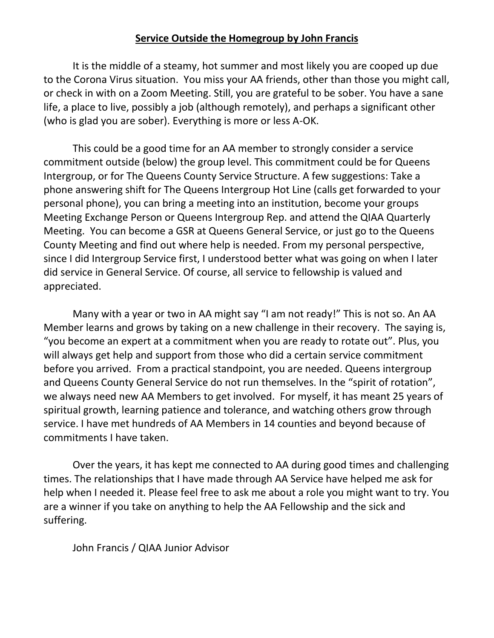# **Service Outside the Homegroup by John Francis**

It is the middle of a steamy, hot summer and most likely you are cooped up due to the Corona Virus situation. You miss your AA friends, other than those you might call, or check in with on a Zoom Meeting. Still, you are grateful to be sober. You have a sane life, a place to live, possibly a job (although remotely), and perhaps a significant other (who is glad you are sober). Everything is more or less A-OK.

This could be a good time for an AA member to strongly consider a service commitment outside (below) the group level. This commitment could be for Queens Intergroup, or for The Queens County Service Structure. A few suggestions: Take a phone answering shift for The Queens Intergroup Hot Line (calls get forwarded to your personal phone), you can bring a meeting into an institution, become your groups Meeting Exchange Person or Queens Intergroup Rep. and attend the QIAA Quarterly Meeting. You can become a GSR at Queens General Service, or just go to the Queens County Meeting and find out where help is needed. From my personal perspective, since I did Intergroup Service first, I understood better what was going on when I later did service in General Service. Of course, all service to fellowship is valued and appreciated.

Many with a year or two in AA might say "I am not ready!" This is not so. An AA Member learns and grows by taking on a new challenge in their recovery. The saying is, "you become an expert at a commitment when you are ready to rotate out". Plus, you will always get help and support from those who did a certain service commitment before you arrived. From a practical standpoint, you are needed. Queens intergroup and Queens County General Service do not run themselves. In the "spirit of rotation", we always need new AA Members to get involved. For myself, it has meant 25 years of spiritual growth, learning patience and tolerance, and watching others grow through service. I have met hundreds of AA Members in 14 counties and beyond because of commitments I have taken.

Over the years, it has kept me connected to AA during good times and challenging times. The relationships that I have made through AA Service have helped me ask for help when I needed it. Please feel free to ask me about a role you might want to try. You are a winner if you take on anything to help the AA Fellowship and the sick and suffering.

John Francis / QIAA Junior Advisor